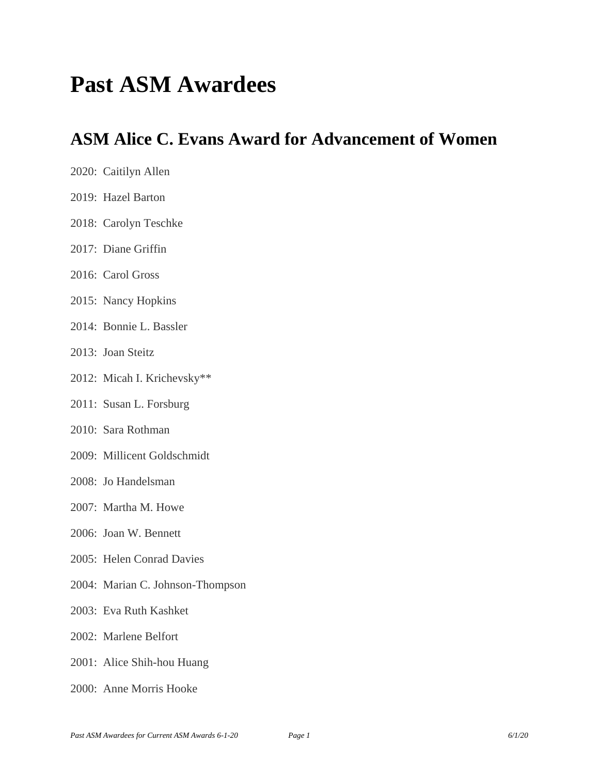# **Past ASM Awardees**

### **ASM Alice C. Evans Award for Advancement of Women**

| 2020: Caitilyn Allen             |
|----------------------------------|
| 2019: Hazel Barton               |
| 2018: Carolyn Teschke            |
| 2017: Diane Griffin              |
| 2016: Carol Gross                |
| 2015: Nancy Hopkins              |
| 2014: Bonnie L. Bassler          |
| 2013: Joan Steitz                |
| 2012: Micah I. Krichevsky**      |
| 2011: Susan L. Forsburg          |
| 2010: Sara Rothman               |
| 2009: Millicent Goldschmidt      |
| 2008: Jo Handelsman              |
| 2007: Martha M. Howe             |
| 2006: Joan W. Bennett            |
| 2005: Helen Conrad Davies        |
| 2004: Marian C. Johnson-Thompson |
| 2003: Eva Ruth Kashket           |
| 2002: Marlene Belfort            |
|                                  |

- 2001: Alice Shih-hou Huang
- 2000: Anne Morris Hooke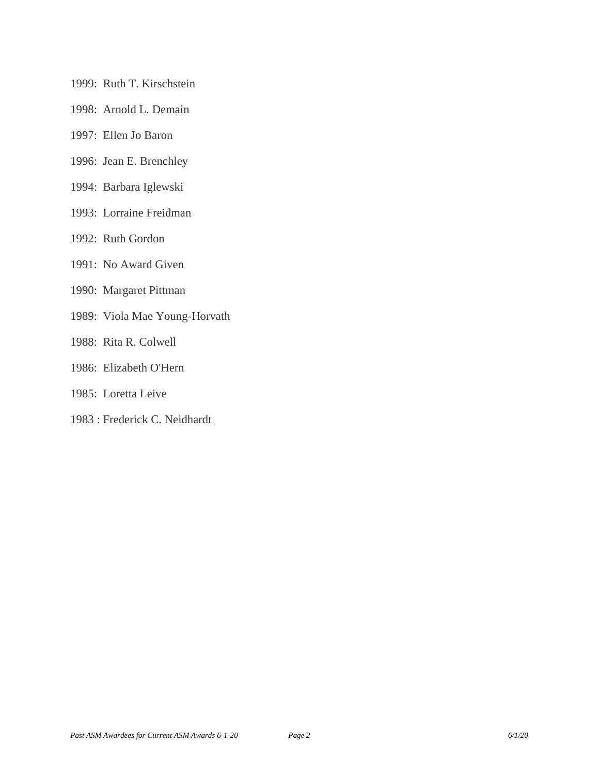- 1999: Ruth T. Kirschstein
- 1998: Arnold L. Demain
- 1997: Ellen Jo Baron
- 1996: Jean E. Brenchley
- 1994: Barbara Iglewski
- 1993: Lorraine Freidman
- 1992: Ruth Gordon
- 1991: No Award Given
- 1990: Margaret Pittman
- 1989: Viola Mae Young-Horvath
- 1988: Rita R. Colwell
- 1986: Elizabeth O'Hern
- 1985: Loretta Leive
- 1983 : Frederick C. Neidhardt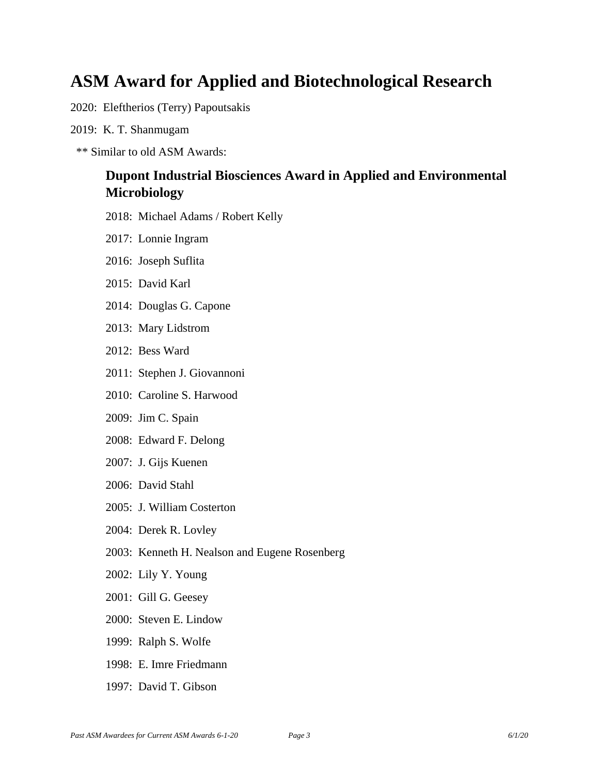### **ASM Award for Applied and Biotechnological Research**

2020: Eleftherios (Terry) Papoutsakis

- 2019: K. T. Shanmugam
- \*\* Similar to old ASM Awards:

### **Dupont Industrial Biosciences Award in Applied and Environmental Microbiology**

- 2018: Michael Adams / Robert Kelly
- 2017: Lonnie Ingram
- 2016: Joseph Suflita
- 2015: David Karl
- 2014: Douglas G. Capone
- 2013: Mary Lidstrom
- 2012: Bess Ward
- 2011: Stephen J. Giovannoni
- 2010: Caroline S. Harwood
- 2009: Jim C. Spain
- 2008: Edward F. Delong
- 2007: J. Gijs Kuenen
- 2006: David Stahl
- 2005: J. William Costerton
- 2004: Derek R. Lovley
- 2003: Kenneth H. Nealson and Eugene Rosenberg
- 2002: Lily Y. Young
- 2001: Gill G. Geesey
- 2000: Steven E. Lindow
- 1999: Ralph S. Wolfe
- 1998: E. Imre Friedmann
- 1997: David T. Gibson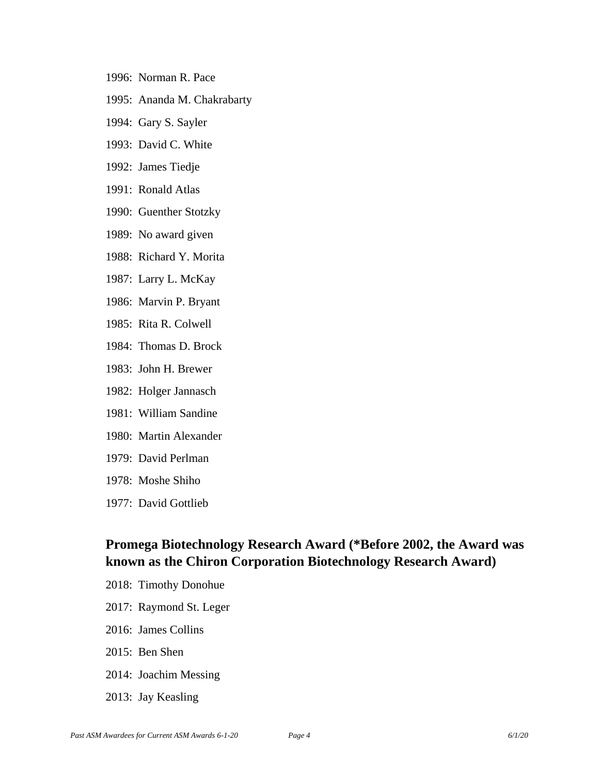- 1996: Norman R. Pace
- 1995: Ananda M. Chakrabarty
- 1994: Gary S. Sayler
- 1993: David C. White
- 1992: James Tiedje
- 1991: Ronald Atlas
- 1990: Guenther Stotzky
- 1989: No award given
- 1988: Richard Y. Morita
- 1987: Larry L. McKay
- 1986: Marvin P. Bryant
- 1985: Rita R. Colwell
- 1984: Thomas D. Brock
- 1983: John H. Brewer
- 1982: Holger Jannasch
- 1981: William Sandine
- 1980: Martin Alexander
- 1979: David Perlman
- 1978: Moshe Shiho
- 1977: David Gottlieb

### **Promega Biotechnology Research Award (\*Before 2002, the Award was known as the Chiron Corporation Biotechnology Research Award)**

- 2018: Timothy Donohue
- 2017: Raymond St. Leger
- 2016: James Collins
- 2015: Ben Shen
- 2014: Joachim Messing
- 2013: Jay Keasling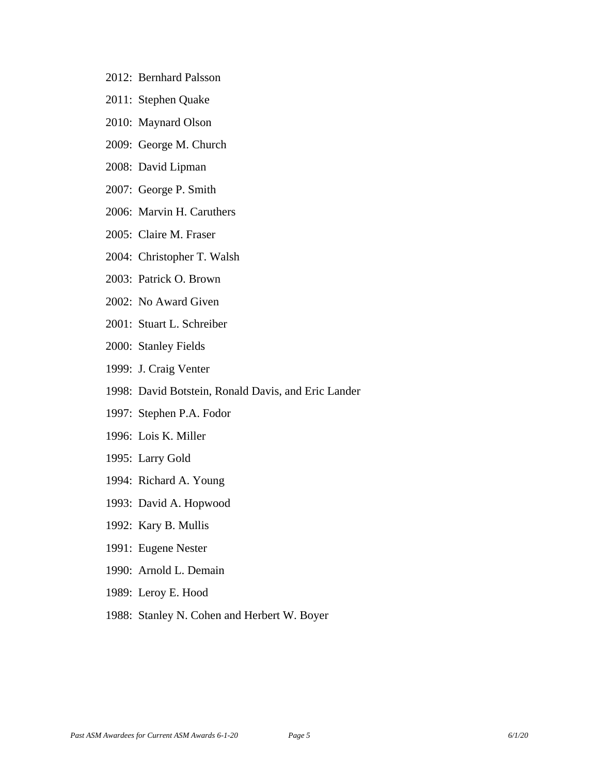- 2012: Bernhard Palsson
- 2011: Stephen Quake
- 2010: Maynard Olson
- 2009: George M. Church
- 2008: David Lipman
- 2007: George P. Smith
- 2006: Marvin H. Caruthers
- 2005: Claire M. Fraser
- 2004: Christopher T. Walsh
- 2003: Patrick O. Brown
- 2002: No Award Given
- 2001: Stuart L. Schreiber
- 2000: Stanley Fields
- 1999: J. Craig Venter
- 1998: David Botstein, Ronald Davis, and Eric Lander
- 1997: Stephen P.A. Fodor
- 1996: Lois K. Miller
- 1995: Larry Gold
- 1994: Richard A. Young
- 1993: David A. Hopwood
- 1992: Kary B. Mullis
- 1991: Eugene Nester
- 1990: Arnold L. Demain
- 1989: Leroy E. Hood
- 1988: Stanley N. Cohen and Herbert W. Boyer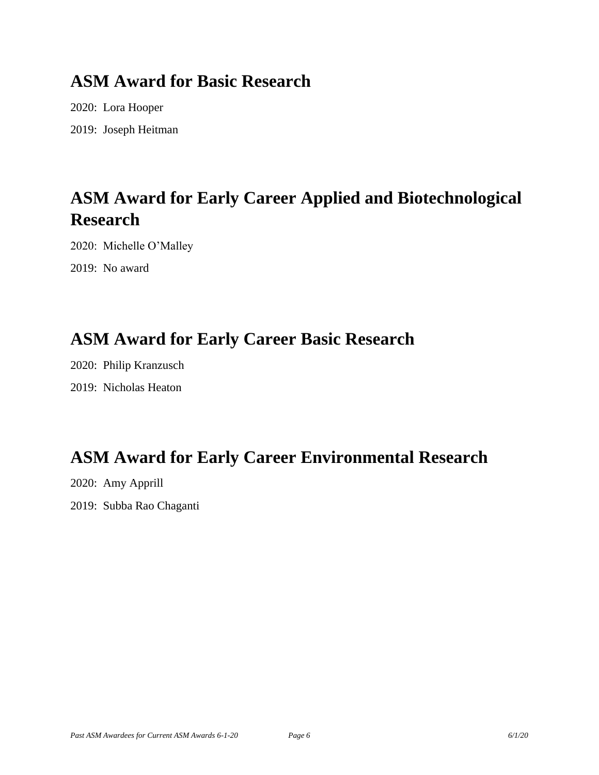### **ASM Award for Basic Research**

2020: Lora Hooper 2019: Joseph Heitman

# **ASM Award for Early Career Applied and Biotechnological Research**

2020: Michelle O'Malley

2019: No award

## **ASM Award for Early Career Basic Research**

2020: Philip Kranzusch 2019: Nicholas Heaton

# **ASM Award for Early Career Environmental Research**

2020: Amy Apprill 2019: Subba Rao Chaganti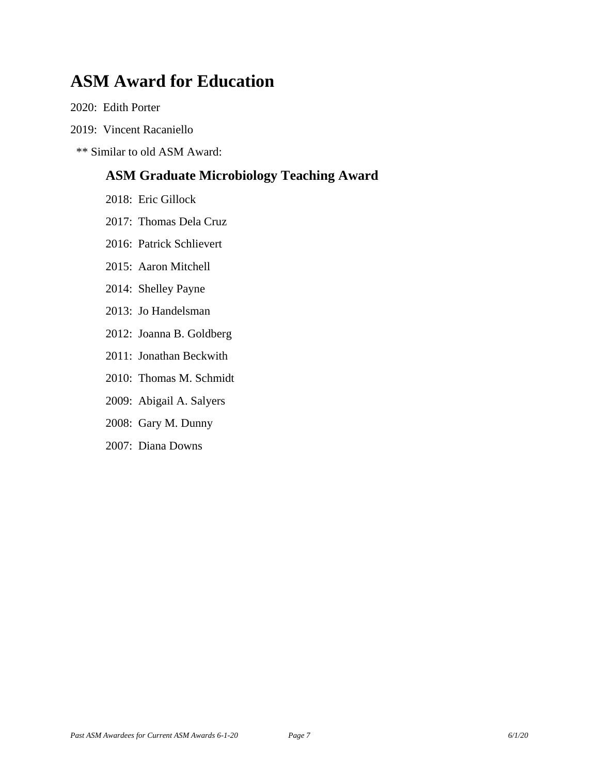### **ASM Award for Education**

2020: Edith Porter

2019: Vincent Racaniello

\*\* Similar to old ASM Award:

### **ASM Graduate Microbiology Teaching Award**

- 2018: Eric Gillock
- 2017: Thomas Dela Cruz
- 2016: Patrick Schlievert
- 2015: Aaron Mitchell
- 2014: Shelley Payne
- 2013: Jo Handelsman
- 2012: Joanna B. Goldberg
- 2011: Jonathan Beckwith
- 2010: Thomas M. Schmidt
- 2009: Abigail A. Salyers
- 2008: Gary M. Dunny
- 2007: Diana Downs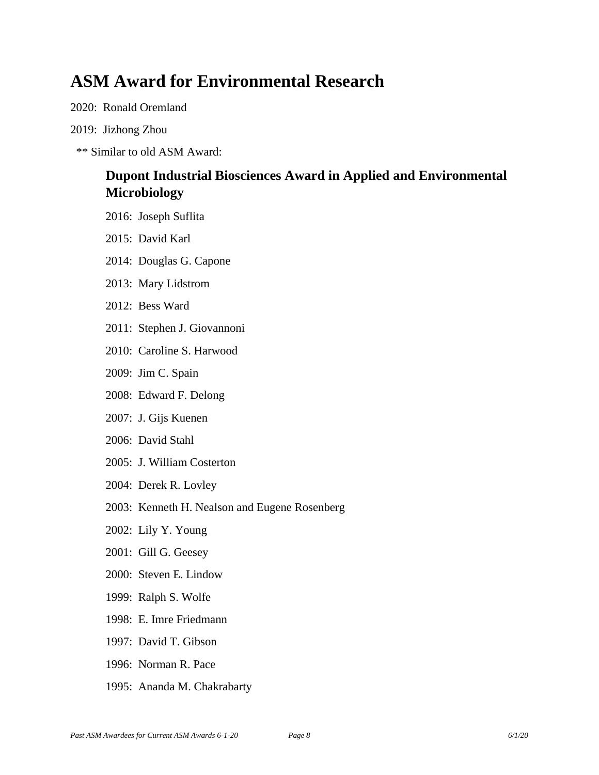### **ASM Award for Environmental Research**

2020: Ronald Oremland

#### 2019: Jizhong Zhou

\*\* Similar to old ASM Award:

### **Dupont Industrial Biosciences Award in Applied and Environmental Microbiology**

- 2016: Joseph Suflita
- 2015: David Karl
- 2014: Douglas G. Capone
- 2013: Mary Lidstrom
- 2012: Bess Ward
- 2011: Stephen J. Giovannoni
- 2010: Caroline S. Harwood
- 2009: Jim C. Spain
- 2008: Edward F. Delong
- 2007: J. Gijs Kuenen
- 2006: David Stahl
- 2005: J. William Costerton
- 2004: Derek R. Lovley
- 2003: Kenneth H. Nealson and Eugene Rosenberg
- 2002: Lily Y. Young
- 2001: Gill G. Geesey
- 2000: Steven E. Lindow
- 1999: Ralph S. Wolfe
- 1998: E. Imre Friedmann
- 1997: David T. Gibson
- 1996: Norman R. Pace
- 1995: Ananda M. Chakrabarty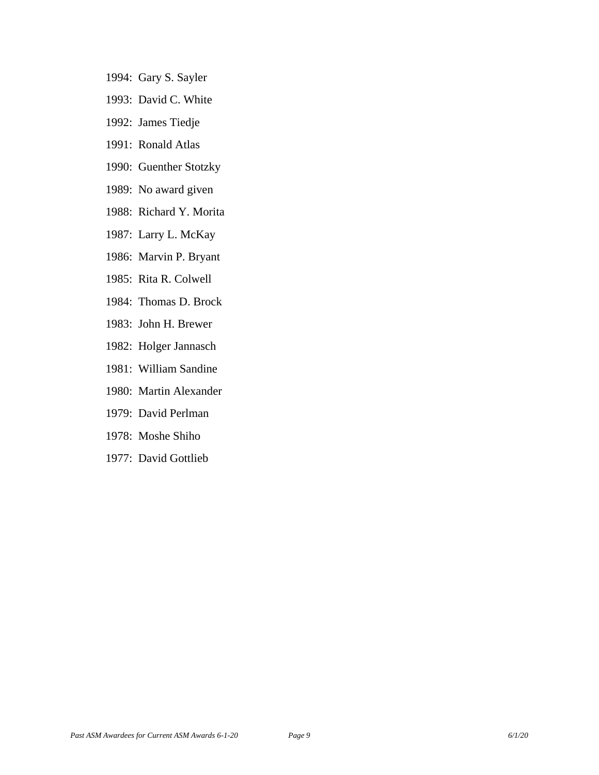- 1994: Gary S. Sayler
- 1993: David C. White
- 1992: James Tiedje
- 1991: Ronald Atlas
- 1990: Guenther Stotzky
- 1989: No award given
- 1988: Richard Y. Morita
- 1987: Larry L. McKay
- 1986: Marvin P. Bryant
- 1985: Rita R. Colwell
- 1984: Thomas D. Brock
- 1983: John H. Brewer
- 1982: Holger Jannasch
- 1981: William Sandine
- 1980: Martin Alexander
- 1979: David Perlman
- 1978: Moshe Shiho
- 1977: David Gottlieb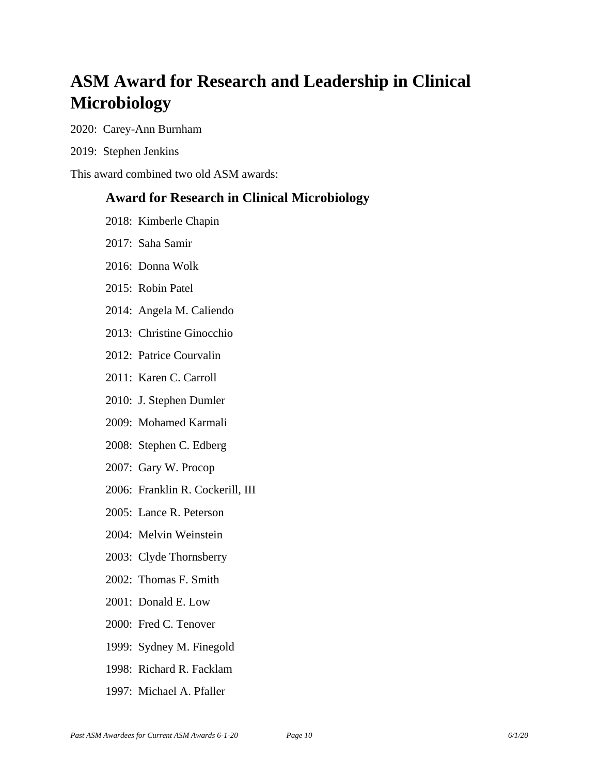## **ASM Award for Research and Leadership in Clinical Microbiology**

2020: Carey-Ann Burnham

2019: Stephen Jenkins

This award combined two old ASM awards:

#### **Award for Research in Clinical Microbiology**

- 2018: Kimberle Chapin
- 2017: Saha Samir
- 2016: Donna Wolk
- 2015: Robin Patel
- 2014: Angela M. Caliendo
- 2013: Christine Ginocchio
- 2012: Patrice Courvalin
- 2011: Karen C. Carroll
- 2010: J. Stephen Dumler
- 2009: Mohamed Karmali
- 2008: Stephen C. Edberg
- 2007: Gary W. Procop
- 2006: Franklin R. Cockerill, III
- 2005: Lance R. Peterson
- 2004: Melvin Weinstein
- 2003: Clyde Thornsberry
- 2002: Thomas F. Smith
- 2001: Donald E. Low
- 2000: Fred C. Tenover
- 1999: Sydney M. Finegold
- 1998: Richard R. Facklam
- 1997: Michael A. Pfaller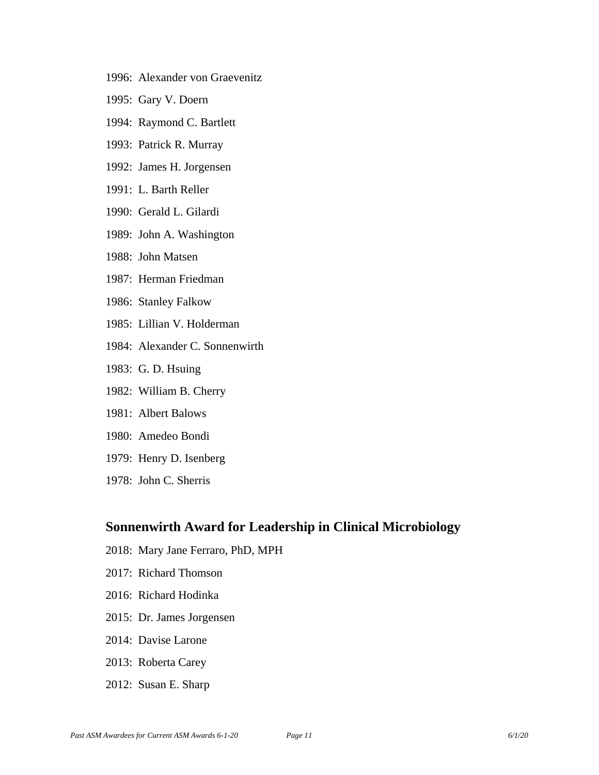- 1996: Alexander von Graevenitz
- 1995: Gary V. Doern
- 1994: Raymond C. Bartlett
- 1993: Patrick R. Murray
- 1992: James H. Jorgensen
- 1991: L. Barth Reller
- 1990: Gerald L. Gilardi
- 1989: John A. Washington
- 1988: John Matsen
- 1987: Herman Friedman
- 1986: Stanley Falkow
- 1985: Lillian V. Holderman
- 1984: Alexander C. Sonnenwirth
- 1983: G. D. Hsuing
- 1982: William B. Cherry
- 1981: Albert Balows
- 1980: Amedeo Bondi
- 1979: Henry D. Isenberg
- 1978: John C. Sherris

#### **Sonnenwirth Award for Leadership in Clinical Microbiology**

- 2018: Mary Jane Ferraro, PhD, MPH
- 2017: Richard Thomson
- 2016: Richard Hodinka
- 2015: Dr. James Jorgensen
- 2014: Davise Larone
- 2013: Roberta Carey
- 2012: Susan E. Sharp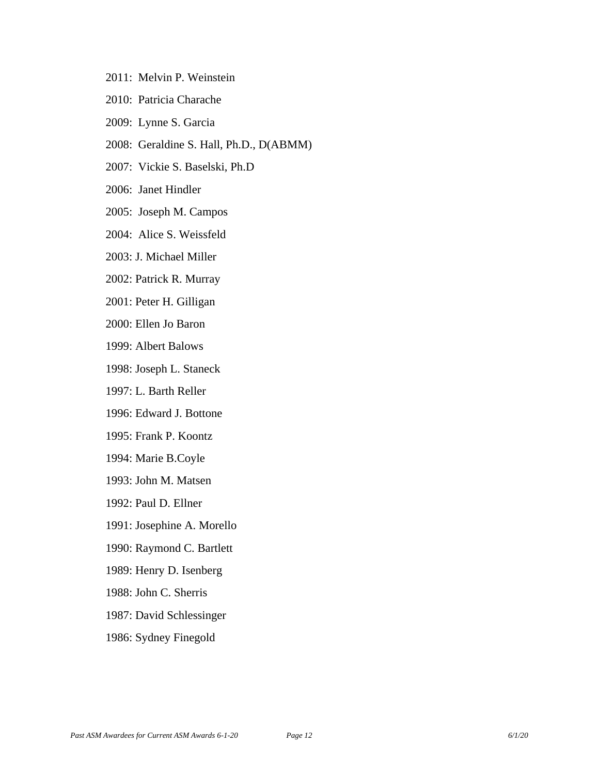- 2011: Melvin P. Weinstein
- 2010: Patricia Charache
- 2009: Lynne S. Garcia
- 2008: Geraldine S. Hall, Ph.D., D(ABMM)
- 2007: Vickie S. Baselski, Ph.D
- 2006: Janet Hindler
- 2005: Joseph M. Campos
- 2004: Alice S. Weissfeld
- 2003: J. Michael Miller
- 2002: Patrick R. Murray
- 2001: Peter H. Gilligan
- 2000: Ellen Jo Baron
- 1999: Albert Balows
- 1998: Joseph L. Staneck
- 1997: L. Barth Reller
- 1996: Edward J. Bottone
- 1995: Frank P. Koontz
- 1994: Marie B.Coyle
- 1993: John M. Matsen
- 1992: Paul D. Ellner
- 1991: Josephine A. Morello
- 1990: Raymond C. Bartlett
- 1989: Henry D. Isenberg
- 1988: John C. Sherris
- 1987: David Schlessinger
- 1986: Sydney Finegold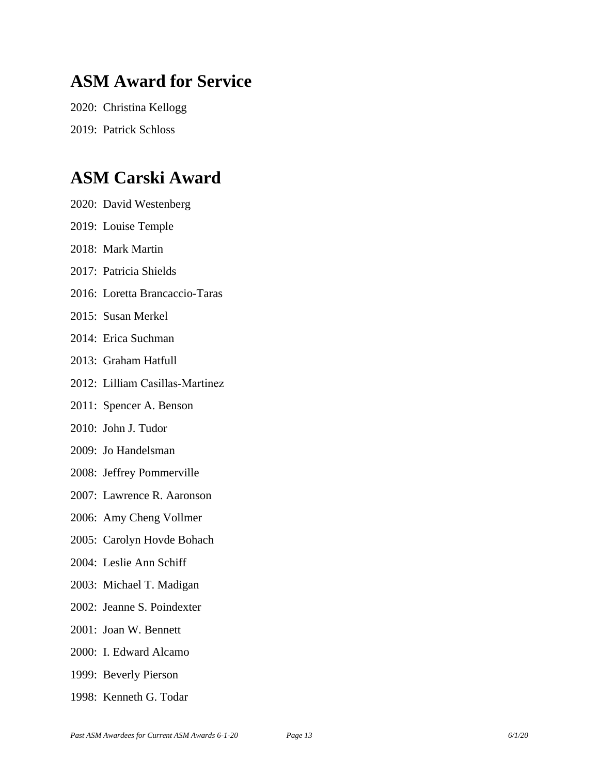### **ASM Award for Service**

2020: Christina Kellogg 2019: Patrick Schloss

### **ASM Carski Award**

2020: David Westenberg 2019: Louise Temple 2018: Mark Martin 2017: Patricia Shields 2016: Loretta Brancaccio-Taras 2015: Susan Merkel 2014: Erica Suchman 2013: Graham Hatfull 2012: Lilliam Casillas‐Martinez 2011: Spencer A. Benson 2010: John J. Tudor 2009: Jo Handelsman 2008: Jeffrey Pommerville 2007: Lawrence R. Aaronson 2006: Amy Cheng Vollmer 2005: Carolyn Hovde Bohach 2004: Leslie Ann Schiff 2003: Michael T. Madigan 2002: Jeanne S. Poindexter 2001: Joan W. Bennett 2000: I. Edward Alcamo 1999: Beverly Pierson 1998: Kenneth G. Todar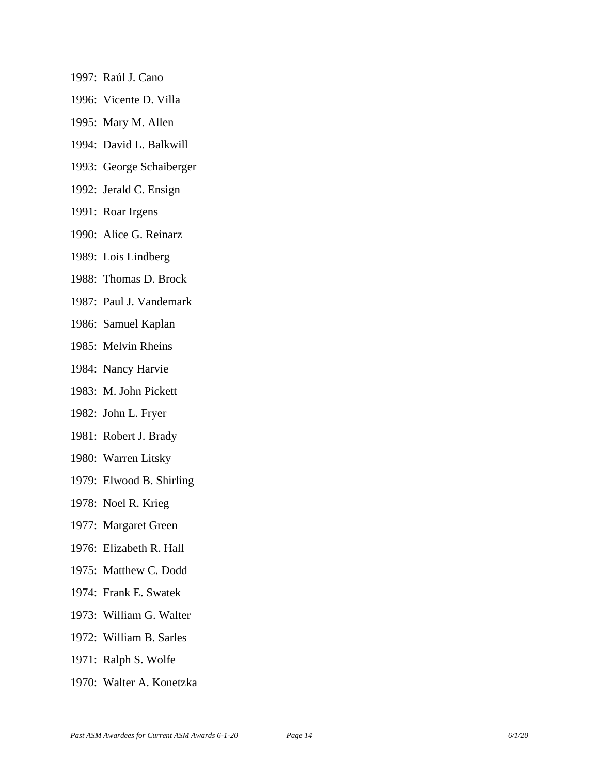- 1997: Raúl J. Cano
- 1996: Vicente D. Villa
- 1995: Mary M. Allen
- 1994: David L. Balkwill
- 1993: George Schaiberger
- 1992: Jerald C. Ensign
- 1991: Roar Irgens
- 1990: Alice G. Reinarz
- 1989: Lois Lindberg
- 1988: Thomas D. Brock
- 1987: Paul J. Vandemark
- 1986: Samuel Kaplan
- 1985: Melvin Rheins
- 1984: Nancy Harvie
- 1983: M. John Pickett
- 1982: John L. Fryer
- 1981: Robert J. Brady
- 1980: Warren Litsky
- 1979: Elwood B. Shirling
- 1978: Noel R. Krieg
- 1977: Margaret Green
- 1976: Elizabeth R. Hall
- 1975: Matthew C. Dodd
- 1974: Frank E. Swatek
- 1973: William G. Walter
- 1972: William B. Sarles
- 1971: Ralph S. Wolfe
- 1970: Walter A. Konetzka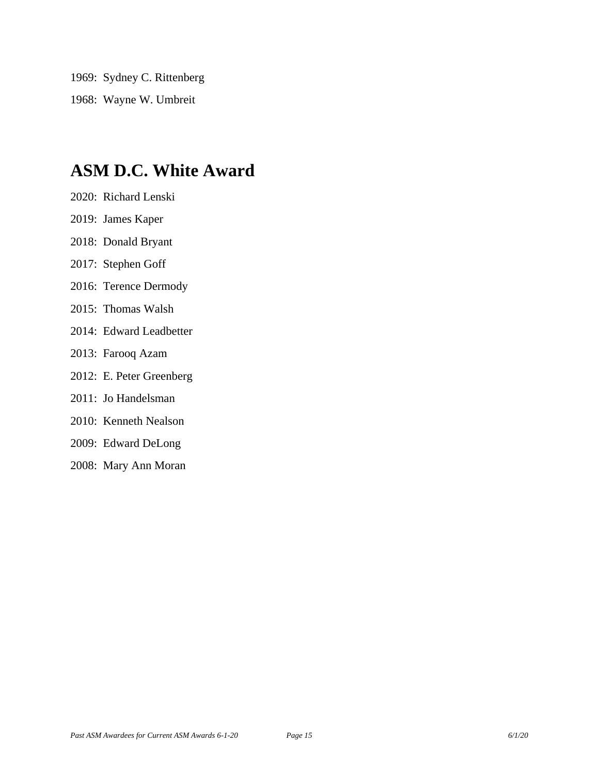1969: Sydney C. Rittenberg 1968: Wayne W. Umbreit

### **ASM D.C. White Award**

- 2020: Richard Lenski
- 2019: James Kaper
- 2018: Donald Bryant
- 2017: Stephen Goff
- 2016: Terence Dermody
- 2015: Thomas Walsh
- 2014: Edward Leadbetter
- 2013: Farooq Azam
- 2012: E. Peter Greenberg
- 2011: Jo Handelsman
- 2010: Kenneth Nealson
- 2009: Edward DeLong
- 2008: Mary Ann Moran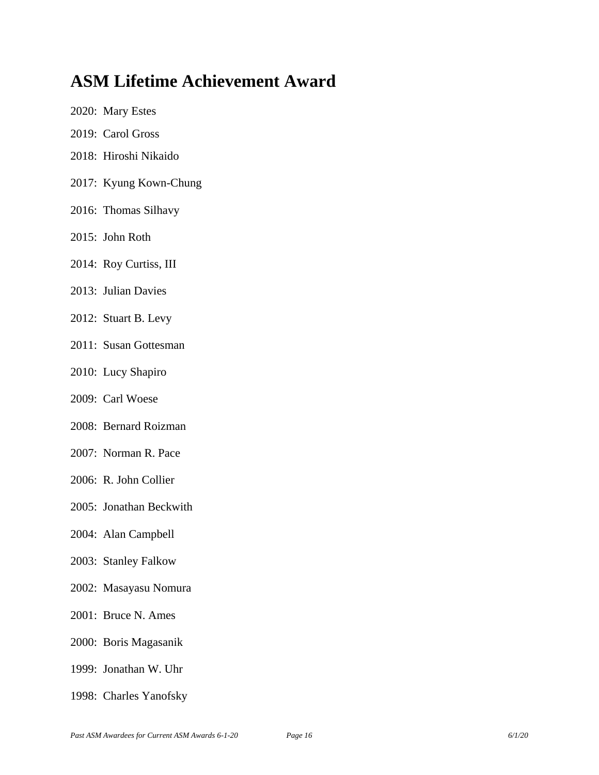### **ASM Lifetime Achievement Award**

- 2020: Mary Estes
- 2019: Carol Gross
- 2018: Hiroshi Nikaido
- 2017: Kyung Kown-Chung
- 2016: Thomas Silhavy
- 2015: John Roth
- 2014: Roy Curtiss, III
- 2013: Julian Davies
- 2012: Stuart B. Levy
- 2011: Susan Gottesman
- 2010: Lucy Shapiro
- 2009: Carl Woese
- 2008: Bernard Roizman
- 2007: Norman R. Pace
- 2006: R. John Collier
- 2005: Jonathan Beckwith
- 2004: Alan Campbell
- 2003: Stanley Falkow
- 2002: Masayasu Nomura
- 2001: Bruce N. Ames
- 2000: Boris Magasanik
- 1999: Jonathan W. Uhr
- 1998: Charles Yanofsky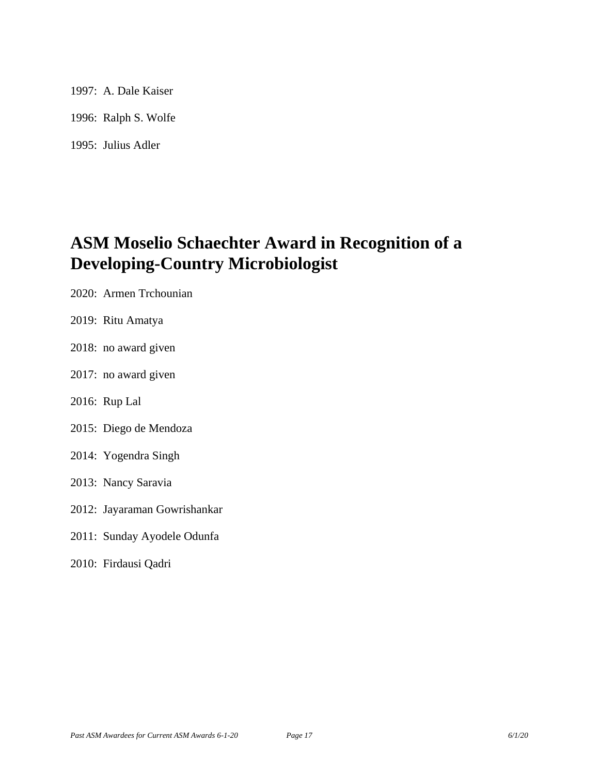1997: A. Dale Kaiser 1996: Ralph S. Wolfe 1995: Julius Adler

### **ASM Moselio Schaechter Award in Recognition of a Developing-Country Microbiologist**

- 2020: Armen Trchounian
- 2019: Ritu Amatya
- 2018: no award given
- 2017: no award given
- 2016: Rup Lal
- 2015: Diego de Mendoza
- 2014: Yogendra Singh
- 2013: Nancy Saravia
- 2012: Jayaraman Gowrishankar
- 2011: Sunday Ayodele Odunfa
- 2010: Firdausi Qadri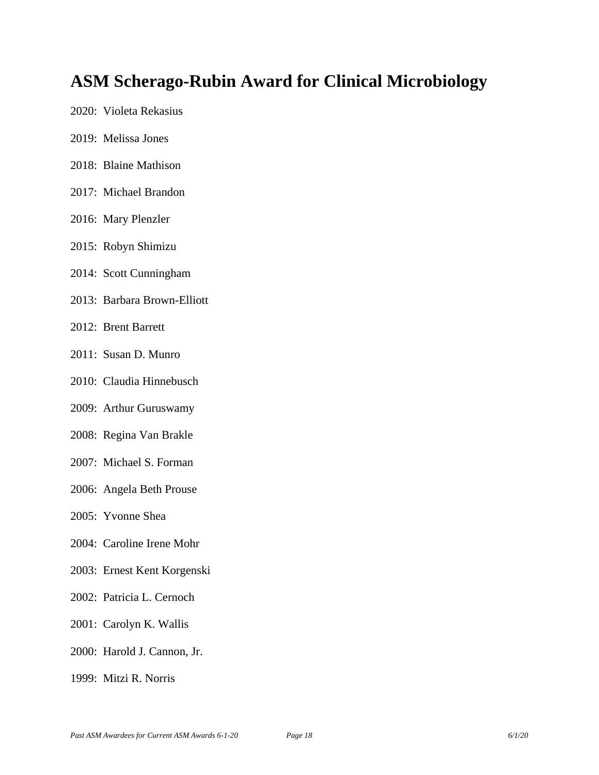### **ASM Scherago-Rubin Award for Clinical Microbiology**

- 2020: Violeta Rekasius
- 2019: Melissa Jones
- 2018: Blaine Mathison
- 2017: Michael Brandon
- 2016: Mary Plenzler
- 2015: Robyn Shimizu
- 2014: Scott Cunningham
- 2013: Barbara Brown-Elliott
- 2012: Brent Barrett
- 2011: Susan D. Munro
- 2010: Claudia Hinnebusch
- 2009: Arthur Guruswamy
- 2008: Regina Van Brakle
- 2007: Michael S. Forman
- 2006: Angela Beth Prouse
- 2005: Yvonne Shea
- 2004: Caroline Irene Mohr
- 2003: Ernest Kent Korgenski
- 2002: Patricia L. Cernoch
- 2001: Carolyn K. Wallis
- 2000: Harold J. Cannon, Jr.
- 1999: Mitzi R. Norris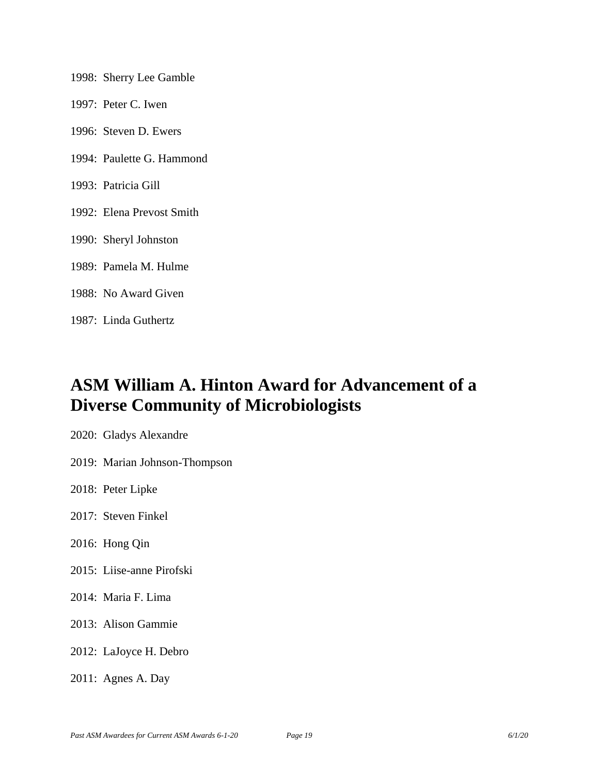| 1998: Sherry Lee Gamble   |
|---------------------------|
| 1997: Peter C. Iwen       |
| 1996: Steven D. Ewers     |
| 1994: Paulette G. Hammond |
| 1993: Patricia Gill       |
| 1992: Elena Prevost Smith |
| 1990: Sheryl Johnston     |
| 1989: Pamela M. Hulme     |
| 1988: No Award Given      |
| 1987: Linda Guthertz      |

### **ASM William A. Hinton Award for Advancement of a Diverse Community of Microbiologists**

- 2020: Gladys Alexandre
- 2019: Marian Johnson-Thompson
- 2018: Peter Lipke
- 2017: Steven Finkel
- 2016: Hong Qin
- 2015: Liise-anne Pirofski
- 2014: Maria F. Lima
- 2013: Alison Gammie
- 2012: LaJoyce H. Debro
- 2011: Agnes A. Day